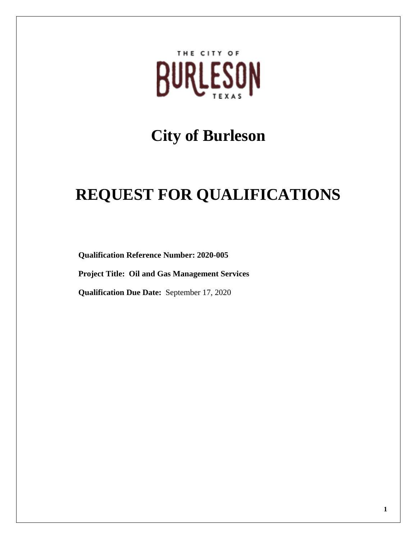

# **City of Burleson**

# **REQUEST FOR QUALIFICATIONS**

**Qualification Reference Number: 2020-005**

**Project Title: Oil and Gas Management Services** 

**Qualification Due Date:** September 17, 2020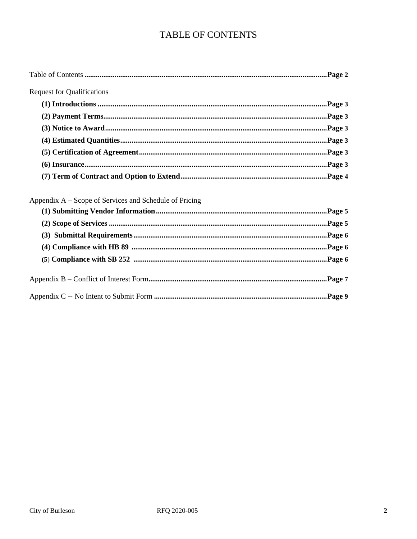# TABLE OF CONTENTS

|--|

Request for Qualifications

# Appendix A – Scope of Services and Schedule of Pricing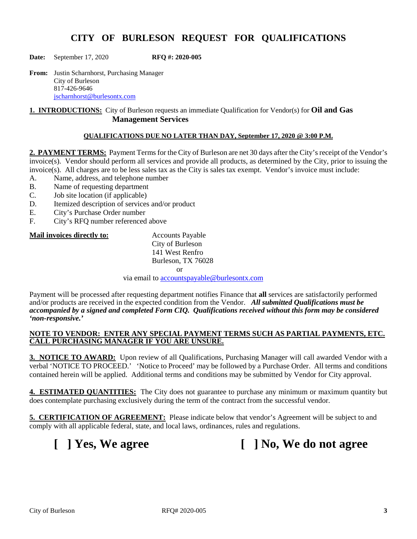### **CITY OF BURLESON REQUEST FOR QUALIFICATIONS**

**Date:** September 17, 2020 **RFQ #: 2020-005**

**From:** Justin Scharnhorst, Purchasing Manager City of Burleson 817-426-9646 [jscharnhorst@burlesontx.com](mailto:jscharnhorst@burlesontx.com)

**1. INTRODUCTIONS:** City of Burleson requests an immediate Qualification for Vendor(s) for **Oil and Gas Management Services**

#### **QUALIFICATIONS DUE NO LATER THAN DAY, September 17, 2020 @ 3:00 P.M.**

**2. PAYMENT TERMS:** Payment Terms for the City of Burleson are net 30 days after the City's receipt of the Vendor's invoice(s). Vendor should perform all services and provide all products, as determined by the City, prior to issuing the invoice(s). All charges are to be less sales tax as the City is sales tax exempt. Vendor's invoice must include:

- A. Name, address, and telephone number
- B. Name of requesting department
- C. Job site location (if applicable)
- D. Itemized description of services and/or product
- E. City's Purchase Order number<br>F. City's RFO number referenced
- City's RFQ number referenced above

#### **Mail invoices directly to:** Accounts Payable

City of Burleson 141 West Renfro Burleson, TX 76028 or

via email to [accountspayable@burlesontx.com](mailto:accountspayable@burlesontx.com)

Payment will be processed after requesting department notifies Finance that **all** services are satisfactorily performed and/or products are received in the expected condition from the Vendor. *All submitted Qualifications must be accompanied by a signed and completed Form CIQ. Qualifications received without this form may be considered 'non-responsive.'*

#### **NOTE TO VENDOR: ENTER ANY SPECIAL PAYMENT TERMS SUCH AS PARTIAL PAYMENTS, ETC. CALL PURCHASING MANAGER IF YOU ARE UNSURE.**

**3. NOTICE TO AWARD:** Upon review of all Qualifications, Purchasing Manager will call awarded Vendor with a verbal 'NOTICE TO PROCEED.' 'Notice to Proceed' may be followed by a Purchase Order. All terms and conditions contained herein will be applied. Additional terms and conditions may be submitted by Vendor for City approval.

**4. ESTIMATED QUANTITIES:** The City does not guarantee to purchase any minimum or maximum quantity but does contemplate purchasing exclusively during the term of the contract from the successful vendor.

**5. CERTIFICATION OF AGREEMENT:** Please indicate below that vendor's Agreement will be subject to and comply with all applicable federal, state, and local laws, ordinances, rules and regulations.

**[ ] Yes, We agree [ ] No, We do not agree**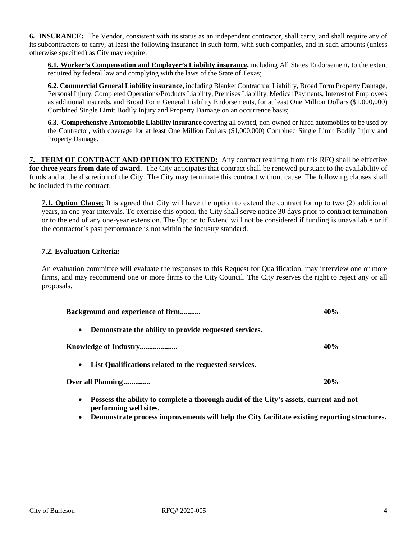**6. INSURANCE:** The Vendor, consistent with its status as an independent contractor, shall carry, and shall require any of its subcontractors to carry, at least the following insurance in such form, with such companies, and in such amounts (unless otherwise specified) as City may require:

**6.1. Worker's Compensation and Employer's Liability insurance,** including All States Endorsement, to the extent required by federal law and complying with the laws of the State of Texas;

**6.2. Commercial General Liability insurance,** including Blanket Contractual Liability, Broad Form Property Damage, Personal Injury, Completed Operations/Products Liability, Premises Liability, Medical Payments, Interest of Employees as additional insureds, and Broad Form General Liability Endorsements, for at least One Million Dollars (\$1,000,000) Combined Single Limit Bodily Injury and Property Damage on an occurrence basis;

**6.3. Comprehensive Automobile Liability insurance** covering all owned, non-owned or hired automobiles to be used by the Contractor, with coverage for at least One Million Dollars (\$1,000,000) Combined Single Limit Bodily Injury and Property Damage.

**7. TERM OF CONTRACT AND OPTION TO EXTEND:** Any contract resulting from this RFQ shall be effective **for three years from date of award.** The City anticipates that contract shall be renewed pursuant to the availability of funds and at the discretion of the City. The City may terminate this contract without cause. The following clauses shall be included in the contract:

**7.1. Option Clause**: It is agreed that City will have the option to extend the contract for up to two (2) additional years, in one-year intervals. To exercise this option, the City shall serve notice 30 days prior to contract termination or to the end of any one-year extension. The Option to Extend will not be considered if funding is unavailable or if the contractor's past performance is not within the industry standard.

#### **7.2. Evaluation Criteria:**

An evaluation committee will evaluate the responses to this Request for Qualification, may interview one or more firms, and may recommend one or more firms to the City Council. The City reserves the right to reject any or all proposals.

| <b>Background and experience of firm</b>                                                                                      | 40% |
|-------------------------------------------------------------------------------------------------------------------------------|-----|
| Demonstrate the ability to provide requested services.<br>$\bullet$                                                           |     |
|                                                                                                                               | 40% |
| List Qualifications related to the requested services.<br>$\bullet$                                                           |     |
| Over all Planning                                                                                                             | 20% |
| Possess the ability to complete a thorough audit of the City's assets, current and not<br>$\bullet$<br>performing well sites. |     |

• **Demonstrate process improvements will help the City facilitate existing reporting structures.**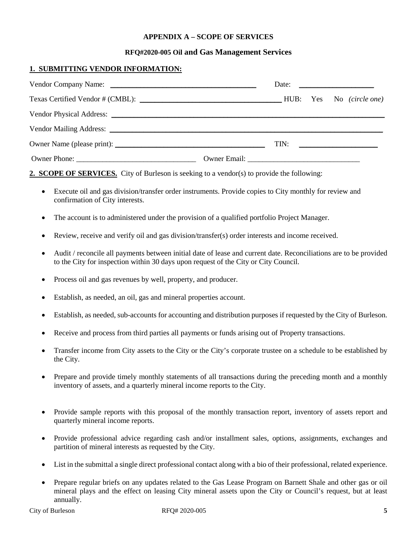#### **APPENDIX A – SCOPE OF SERVICES**

#### **RFQ#2020-005 Oil and Gas Management Services**

#### **1. SUBMITTING VENDOR INFORMATION:**

|  | Date: $\frac{1}{\sqrt{1-\frac{1}{2}} \cdot \frac{1}{2}}$ |  |  |
|--|----------------------------------------------------------|--|--|
|  |                                                          |  |  |
|  |                                                          |  |  |
|  |                                                          |  |  |
|  | $\boxed{\text{TN:}}$                                     |  |  |
|  |                                                          |  |  |

**2. SCOPE OF SERVICES.** City of Burleson is seeking to a vendor(s) to provide the following:

- Execute oil and gas division/transfer order instruments. Provide copies to City monthly for review and confirmation of City interests.
- The account is to administered under the provision of a qualified portfolio Project Manager.
- Review, receive and verify oil and gas division/transfer(s) order interests and income received.
- Audit / reconcile all payments between initial date of lease and current date. Reconciliations are to be provided to the City for inspection within 30 days upon request of the City or City Council.
- Process oil and gas revenues by well, property, and producer.
- Establish, as needed, an oil, gas and mineral properties account.
- Establish, as needed, sub-accounts for accounting and distribution purposes if requested by the City of Burleson.
- Receive and process from third parties all payments or funds arising out of Property transactions.
- Transfer income from City assets to the City or the City's corporate trustee on a schedule to be established by the City.
- Prepare and provide timely monthly statements of all transactions during the preceding month and a monthly inventory of assets, and a quarterly mineral income reports to the City.
- Provide sample reports with this proposal of the monthly transaction report, inventory of assets report and quarterly mineral income reports.
- Provide professional advice regarding cash and/or installment sales, options, assignments, exchanges and partition of mineral interests as requested by the City.
- List in the submittal a single direct professional contact along with a bio of their professional, related experience.
- Prepare regular briefs on any updates related to the Gas Lease Program on Barnett Shale and other gas or oil mineral plays and the effect on leasing City mineral assets upon the City or Council's request, but at least annually.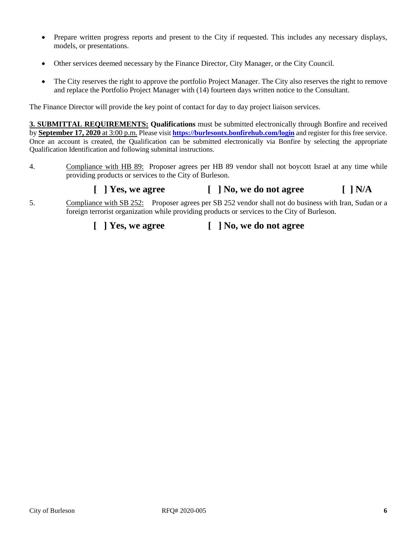- Prepare written progress reports and present to the City if requested. This includes any necessary displays, models, or presentations.
- Other services deemed necessary by the Finance Director, City Manager, or the City Council.
- The City reserves the right to approve the portfolio Project Manager. The City also reserves the right to remove and replace the Portfolio Project Manager with (14) fourteen days written notice to the Consultant.

The Finance Director will provide the key point of contact for day to day project liaison services.

**3. SUBMITTAL REQUIREMENTS: Qualifications** must be submitted electronically through Bonfire and received by **September 17, 2020** at 3:00 p.m. Please visit **<https://burlesontx.bonfirehub.com/login>** and register for this free service. Once an account is created, the Qualification can be submitted electronically via Bonfire by selecting the appropriate Qualification Identification and following submittal instructions.

4. Compliance with HB 89: Proposer agrees per HB 89 vendor shall not boycott Israel at any time while providing products or services to the City of Burleson.

## **[ ] Yes, we agree [ ] No, we do not agree [ ] N/A**

5. Compliance with SB 252: Proposer agrees per SB 252 vendor shall not do business with Iran, Sudan or a foreign terrorist organization while providing products or services to the City of Burleson.

### **[ ] Yes, we agree [ ] No, we do not agree**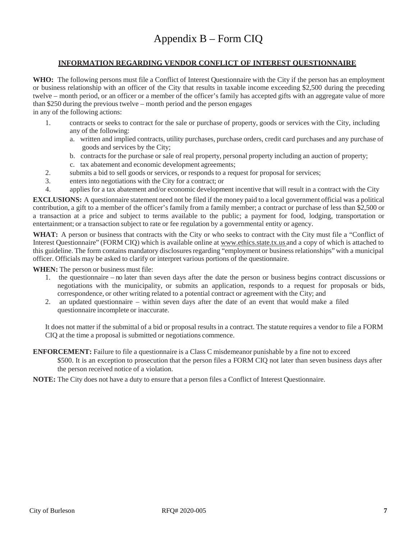#### **INFORMATION REGARDING VENDOR CONFLICT OF INTEREST QUESTIONNAIRE**

**WHO:** The following persons must file a Conflict of Interest Questionnaire with the City if the person has an employment or business relationship with an officer of the City that results in taxable income exceeding \$2,500 during the preceding twelve – month period, or an officer or a member of the officer's family has accepted gifts with an aggregate value of more than \$250 during the previous twelve – month period and the person engages

in any of the following actions:

- 1. contracts or seeks to contract for the sale or purchase of property, goods or services with the City, including any of the following:
	- a. written and implied contracts, utility purchases, purchase orders, credit card purchases and any purchase of goods and services by the City;
	- b. contracts for the purchase or sale of real property, personal property including an auction of property;
	- c. tax abatement and economic development agreements;
- 2. submits a bid to sell goods or services, or responds to a request for proposal for services;
- 3. enters into negotiations with the City for a contract; or
- 4. applies for a tax abatement and/or economic development incentive that will result in a contract with the City

**EXCLUSIONS:** A questionnaire statement need not be filed if the money paid to a local government official was a political contribution, a gift to a member of the officer's family from a family member; a contract or purchase of less than \$2,500 or a transaction at a price and subject to terms available to the public; a payment for food, lodging, transportation or entertainment; or a transaction subject to rate or fee regulation by a governmental entity or agency.

**WHAT:** A person or business that contracts with the City or who seeks to contract with the City must file a "Conflict of Interest Questionnaire" (FORM CIQ) which is available online at [www.ethics.state.tx.us](http://www.ethics.state.tx.us/) and a copy of which is attached to this guideline. The form contains mandatory disclosures regarding "employment or business relationships" with a municipal officer. Officials may be asked to clarify or interpret various portions of the questionnaire.

**WHEN:** The person or business must file:

- 1. the questionnaire no later than seven days after the date the person or business begins contract discussions or negotiations with the municipality, or submits an application, responds to a request for proposals or bids, correspondence, or other writing related to a potential contract or agreement with the City; and
- 2. an updated questionnaire within seven days after the date of an event that would make a filed questionnaire incomplete or inaccurate.

It does not matter if the submittal of a bid or proposal results in a contract. The statute requires a vendor to file a FORM CIQ at the time a proposal is submitted or negotiations commence.

**ENFORCEMENT:** Failure to file a questionnaire is a Class C misdemeanor punishable by a fine not to exceed

\$500. It is an exception to prosecution that the person files a FORM CIQ not later than seven business days after the person received notice of a violation.

**NOTE:** The City does not have a duty to ensure that a person files a Conflict of Interest Questionnaire.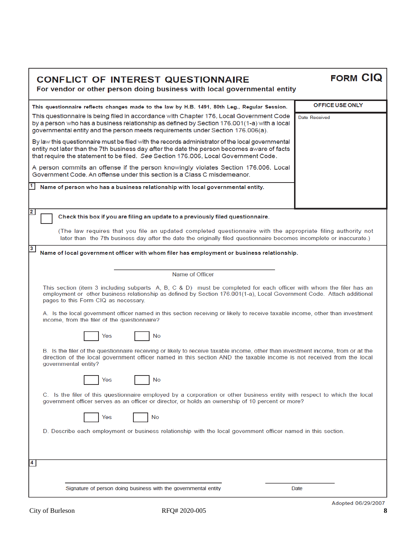| <b>CONFLICT OF INTEREST QUESTIONNAIRE</b><br>For vendor or other person doing business with local governmental entity                                                                                                                                                                  | <b>FORM CIQ</b>            |
|----------------------------------------------------------------------------------------------------------------------------------------------------------------------------------------------------------------------------------------------------------------------------------------|----------------------------|
| This questionnaire reflects changes made to the law by H.B. 1491, 80th Leg., Regular Session.                                                                                                                                                                                          | OFFICE USE ONLY            |
| This questionnaire is being filed in accordance with Chapter 176, Local Government Code<br>by a person who has a business relationship as defined by Section 176.001(1-a) with a local<br>governmental entity and the person meets requirements under Section 176.006(a).              | Date Received              |
| By law this questionnaire must be filed with the records administrator of the local governmental<br>entity not later than the 7th business day after the date the person becomes aware of facts<br>that require the statement to be filed. See Section 176.006, Local Government Code. |                            |
| A person commits an offense if the person knowingly violates Section 176.006, Local<br>Government Code, An offense under this section is a Class C misdemeanor.                                                                                                                        |                            |
| Name of person who has a business relationship with local governmental entity.                                                                                                                                                                                                         |                            |
| $\overline{2}$<br>Check this box if you are filing an update to a previously filed questionnaire.                                                                                                                                                                                      |                            |
| (The law requires that you file an updated completed questionnaire with the appropriate filing authority not<br>later than the 7th business day after the date the originally filed questionnaire becomes incomplete or inaccurate.)                                                   |                            |
| $3\phantom{a}$<br>Name of local government officer with whom filer has employment or business relationship.                                                                                                                                                                            |                            |
| Name of Officer                                                                                                                                                                                                                                                                        |                            |
| This section (item 3 including subparts A, B, C & D) must be completed for each officer with whom the filer has an<br>employment or other business relationship as defined by Section 176.001(1-a), Local Government Code. Attach additional<br>pages to this Form CIQ as necessary.   |                            |
| A. Is the local government officer named in this section receiving or likely to receive taxable income, other than investment<br>income, from the filer of the questionnaire?                                                                                                          |                            |
| No<br>Yes                                                                                                                                                                                                                                                                              |                            |
| B. Is the filer of the questionnaire receiving or likely to receive taxable income, other than investment income, from or at the<br>direction of the local government officer named in this section AND the taxable income is not received from the local<br>governmental entity?      |                            |
| No<br>Yes                                                                                                                                                                                                                                                                              |                            |
| C. Is the filer of this questionnaire employed by a corporation or other business entity with respect to which the local<br>government officer serves as an officer or director, or holds an ownership of 10 percent or more?                                                          |                            |
| Yes<br>No                                                                                                                                                                                                                                                                              |                            |
| D. Describe each employment or business relationship with the local government officer named in this section.                                                                                                                                                                          |                            |
| 4                                                                                                                                                                                                                                                                                      |                            |
|                                                                                                                                                                                                                                                                                        |                            |
| Signature of person doing business with the governmental entity                                                                                                                                                                                                                        | Date<br>Adopted 08/20/2007 |